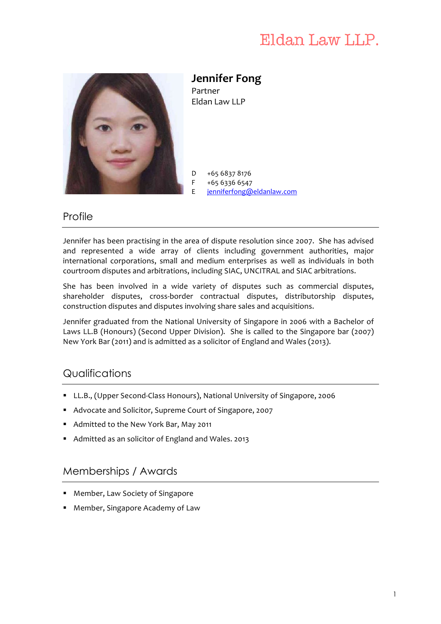# Eldan Law LLP.



**Jennifer Fong**  Partner Eldan Law LLP

D F +65 6837 8176 +65 6336 6547 E jenniferfong@eldanlaw.com

### **Profile**

Jennifer has been practising in the area of dispute resolution since 2007. She has advised and represented a wide array of clients including government authorities, major international corporations, small and medium enterprises as well as individuals in both courtroom disputes and arbitrations, including SIAC, UNCITRAL and SIAC arbitrations.

She has been involved in a wide variety of disputes such as commercial disputes, shareholder disputes, cross-border contractual disputes, distributorship disputes, construction disputes and disputes involving share sales and acquisitions.

Jennifer graduated from the National University of Singapore in 2006 with a Bachelor of Laws LL.B (Honours) (Second Upper Division). She is called to the Singapore bar (2007) New York Bar (2011) and is admitted as a solicitor of England and Wales (2013).

# **Qualifications**

- § LL.B., (Upper Second-Class Honours), National University of Singapore, 2006
- Advocate and Solicitor, Supreme Court of Singapore, 2007
- Admitted to the New York Bar, May 2011
- Admitted as an solicitor of England and Wales. 2013

# Memberships / Awards

- Member, Law Society of Singapore
- Member, Singapore Academy of Law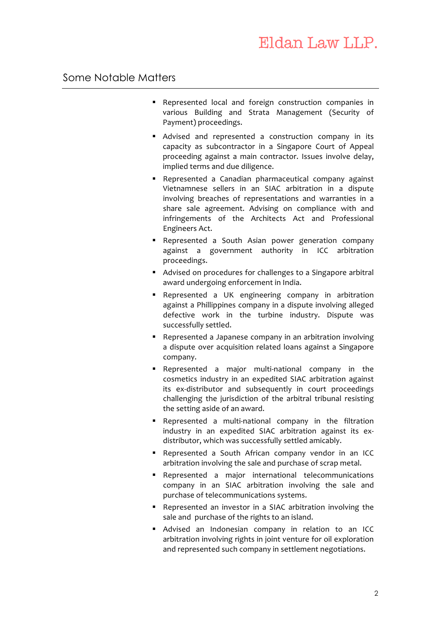#### Some Notable Matters

- Represented local and foreign construction companies in various Building and Strata Management (Security of Payment) proceedings.
- Advised and represented a construction company in its capacity as subcontractor in a Singapore Court of Appeal proceeding against a main contractor. Issues involve delay, implied terms and due diligence.
- Represented a Canadian pharmaceutical company against Vietnamnese sellers in an SIAC arbitration in a dispute involving breaches of representations and warranties in a share sale agreement. Advising on compliance with and infringements of the Architects Act and Professional Engineers Act.
- Represented a South Asian power generation company against a government authority in ICC arbitration proceedings.
- Advised on procedures for challenges to a Singapore arbitral award undergoing enforcement in India.
- Represented a UK engineering company in arbitration against a Phillippines company in a dispute involving alleged defective work in the turbine industry. Dispute was successfully settled.
- Represented a Japanese company in an arbitration involving a dispute over acquisition related loans against a Singapore company.
- § Represented a major multi-national company in the cosmetics industry in an expedited SIAC arbitration against its ex-distributor and subsequently in court proceedings challenging the jurisdiction of the arbitral tribunal resisting the setting aside of an award.
- § Represented a multi-national company in the filtration industry in an expedited SIAC arbitration against its exdistributor, which was successfully settled amicably.
- Represented a South African company vendor in an ICC arbitration involving the sale and purchase of scrap metal.
- § Represented a major international telecommunications company in an SIAC arbitration involving the sale and purchase of telecommunications systems.
- Represented an investor in a SIAC arbitration involving the sale and purchase of the rights to an island.
- Advised an Indonesian company in relation to an ICC arbitration involving rights in joint venture for oil exploration and represented such company in settlement negotiations.